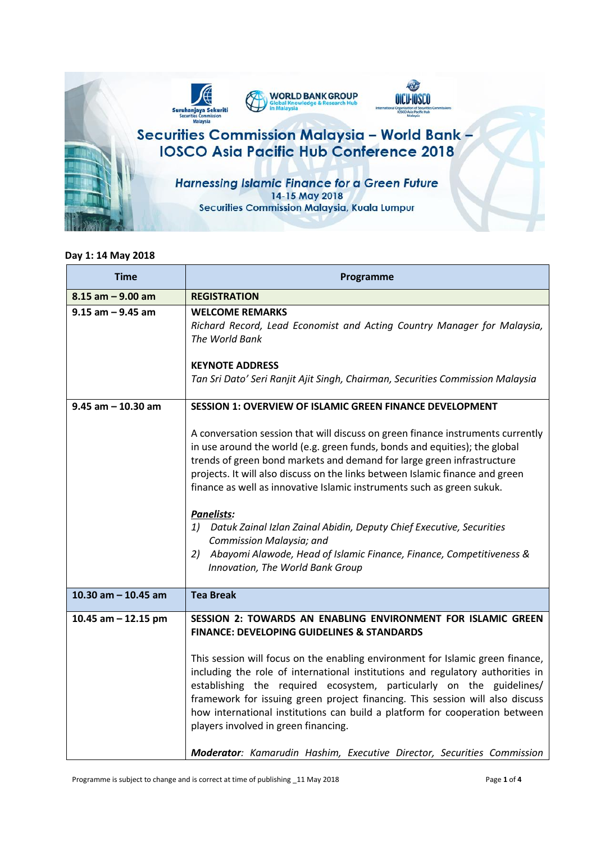

## **Day 1: 14 May 2018**

| <b>Time</b>            | Programme                                                                                                                                                                                                                                                                                                                                                                                                                                                                                                                                                                                                                                           |
|------------------------|-----------------------------------------------------------------------------------------------------------------------------------------------------------------------------------------------------------------------------------------------------------------------------------------------------------------------------------------------------------------------------------------------------------------------------------------------------------------------------------------------------------------------------------------------------------------------------------------------------------------------------------------------------|
| $8.15$ am $-9.00$ am   | <b>REGISTRATION</b>                                                                                                                                                                                                                                                                                                                                                                                                                                                                                                                                                                                                                                 |
| $9.15$ am $-9.45$ am   | <b>WELCOME REMARKS</b><br>Richard Record, Lead Economist and Acting Country Manager for Malaysia,<br>The World Bank                                                                                                                                                                                                                                                                                                                                                                                                                                                                                                                                 |
|                        | <b>KEYNOTE ADDRESS</b><br>Tan Sri Dato' Seri Ranjit Ajit Singh, Chairman, Securities Commission Malaysia                                                                                                                                                                                                                                                                                                                                                                                                                                                                                                                                            |
| $9.45$ am $- 10.30$ am | <b>SESSION 1: OVERVIEW OF ISLAMIC GREEN FINANCE DEVELOPMENT</b>                                                                                                                                                                                                                                                                                                                                                                                                                                                                                                                                                                                     |
|                        | A conversation session that will discuss on green finance instruments currently<br>in use around the world (e.g. green funds, bonds and equities); the global<br>trends of green bond markets and demand for large green infrastructure<br>projects. It will also discuss on the links between Islamic finance and green<br>finance as well as innovative Islamic instruments such as green sukuk.<br>Panelists:<br>1) Datuk Zainal Izlan Zainal Abidin, Deputy Chief Executive, Securities<br>Commission Malaysia; and<br>2)<br>Abayomi Alawode, Head of Islamic Finance, Finance, Competitiveness &<br>Innovation, The World Bank Group           |
| 10.30 am $-$ 10.45 am  | <b>Tea Break</b>                                                                                                                                                                                                                                                                                                                                                                                                                                                                                                                                                                                                                                    |
| 10.45 am $-$ 12.15 pm  | SESSION 2: TOWARDS AN ENABLING ENVIRONMENT FOR ISLAMIC GREEN<br><b>FINANCE: DEVELOPING GUIDELINES &amp; STANDARDS</b><br>This session will focus on the enabling environment for Islamic green finance,<br>including the role of international institutions and regulatory authorities in<br>establishing the required ecosystem, particularly on the guidelines/<br>framework for issuing green project financing. This session will also discuss<br>how international institutions can build a platform for cooperation between<br>players involved in green financing.<br>Moderator: Kamarudin Hashim, Executive Director, Securities Commission |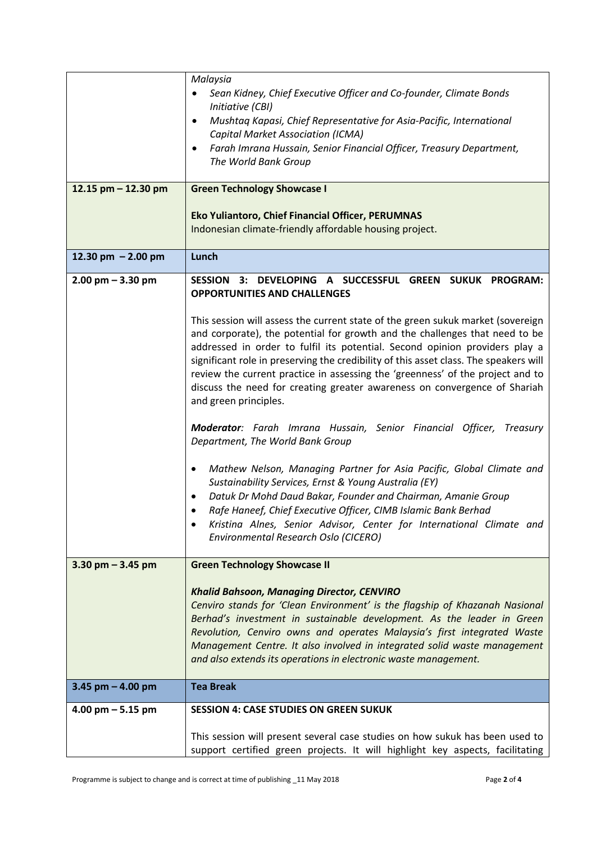|                       | Malaysia                                                                                                                                                                                                                                                                                                                                                                                                                                                                                                                       |
|-----------------------|--------------------------------------------------------------------------------------------------------------------------------------------------------------------------------------------------------------------------------------------------------------------------------------------------------------------------------------------------------------------------------------------------------------------------------------------------------------------------------------------------------------------------------|
|                       | Sean Kidney, Chief Executive Officer and Co-founder, Climate Bonds                                                                                                                                                                                                                                                                                                                                                                                                                                                             |
|                       | Initiative (CBI)                                                                                                                                                                                                                                                                                                                                                                                                                                                                                                               |
|                       | Mushtaq Kapasi, Chief Representative for Asia-Pacific, International<br>$\bullet$<br><b>Capital Market Association (ICMA)</b>                                                                                                                                                                                                                                                                                                                                                                                                  |
|                       | Farah Imrana Hussain, Senior Financial Officer, Treasury Department,<br>$\bullet$                                                                                                                                                                                                                                                                                                                                                                                                                                              |
|                       | The World Bank Group                                                                                                                                                                                                                                                                                                                                                                                                                                                                                                           |
| 12.15 $pm - 12.30$ pm | <b>Green Technology Showcase I</b>                                                                                                                                                                                                                                                                                                                                                                                                                                                                                             |
|                       |                                                                                                                                                                                                                                                                                                                                                                                                                                                                                                                                |
|                       | Eko Yuliantoro, Chief Financial Officer, PERUMNAS<br>Indonesian climate-friendly affordable housing project.                                                                                                                                                                                                                                                                                                                                                                                                                   |
|                       |                                                                                                                                                                                                                                                                                                                                                                                                                                                                                                                                |
| 12.30 pm $-2.00$ pm   | Lunch                                                                                                                                                                                                                                                                                                                                                                                                                                                                                                                          |
| $2.00$ pm $-3.30$ pm  | 3: DEVELOPING A SUCCESSFUL GREEN SUKUK PROGRAM:<br><b>SESSION</b><br><b>OPPORTUNITIES AND CHALLENGES</b>                                                                                                                                                                                                                                                                                                                                                                                                                       |
|                       | This session will assess the current state of the green sukuk market (sovereign<br>and corporate), the potential for growth and the challenges that need to be<br>addressed in order to fulfil its potential. Second opinion providers play a<br>significant role in preserving the credibility of this asset class. The speakers will<br>review the current practice in assessing the 'greenness' of the project and to<br>discuss the need for creating greater awareness on convergence of Shariah<br>and green principles. |
|                       | Moderator: Farah Imrana Hussain, Senior Financial Officer, Treasury<br>Department, The World Bank Group                                                                                                                                                                                                                                                                                                                                                                                                                        |
|                       | Mathew Nelson, Managing Partner for Asia Pacific, Global Climate and<br>٠<br>Sustainability Services, Ernst & Young Australia (EY)<br>Datuk Dr Mohd Daud Bakar, Founder and Chairman, Amanie Group<br>$\bullet$<br>Rafe Haneef, Chief Executive Officer, CIMB Islamic Bank Berhad<br>Kristina Alnes, Senior Advisor, Center for International Climate and<br>Environmental Research Oslo (CICERO)                                                                                                                              |
| 3.30 pm $-$ 3.45 pm   | <b>Green Technology Showcase II</b>                                                                                                                                                                                                                                                                                                                                                                                                                                                                                            |
|                       | <b>Khalid Bahsoon, Managing Director, CENVIRO</b><br>Cenviro stands for 'Clean Environment' is the flagship of Khazanah Nasional<br>Berhad's investment in sustainable development. As the leader in Green<br>Revolution, Cenviro owns and operates Malaysia's first integrated Waste<br>Management Centre. It also involved in integrated solid waste management<br>and also extends its operations in electronic waste management.                                                                                           |
| 3.45 pm $-$ 4.00 pm   | <b>Tea Break</b>                                                                                                                                                                                                                                                                                                                                                                                                                                                                                                               |
| 4.00 pm $-5.15$ pm    | <b>SESSION 4: CASE STUDIES ON GREEN SUKUK</b>                                                                                                                                                                                                                                                                                                                                                                                                                                                                                  |
|                       | This session will present several case studies on how sukuk has been used to<br>support certified green projects. It will highlight key aspects, facilitating                                                                                                                                                                                                                                                                                                                                                                  |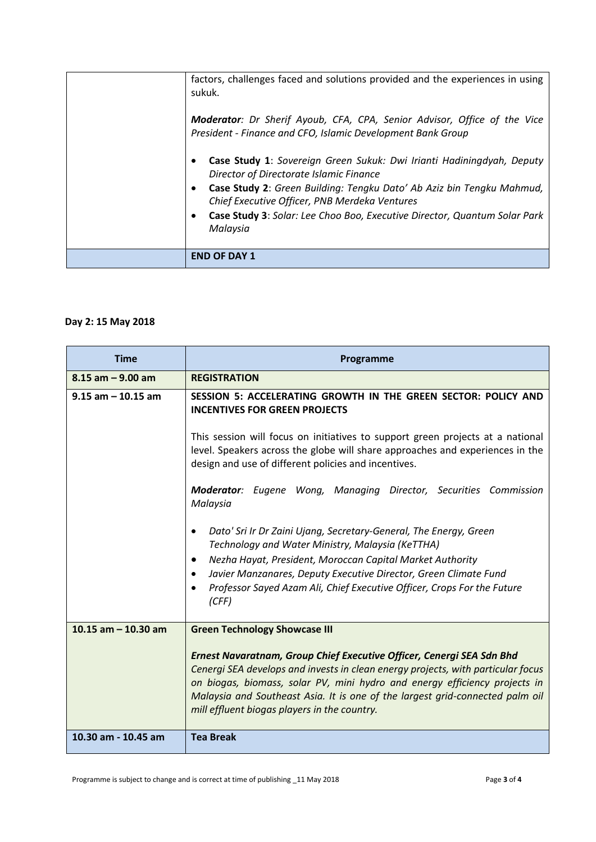| factors, challenges faced and solutions provided and the experiences in using<br>sukuk.<br><b>Moderator</b> : Dr Sherif Ayoub, CFA, CPA, Senior Advisor, Office of the Vice<br>President - Finance and CFO, Islamic Development Bank Group<br>Case Study 1: Sovereign Green Sukuk: Dwi Irianti Hadiningdyah, Deputy<br>Director of Directorate Islamic Finance<br>Case Study 2: Green Building: Tengku Dato' Ab Aziz bin Tengku Mahmud,<br>$\bullet$<br>Chief Executive Officer, PNB Merdeka Ventures<br>Case Study 3: Solar: Lee Choo Boo, Executive Director, Quantum Solar Park<br>Malaysia |
|------------------------------------------------------------------------------------------------------------------------------------------------------------------------------------------------------------------------------------------------------------------------------------------------------------------------------------------------------------------------------------------------------------------------------------------------------------------------------------------------------------------------------------------------------------------------------------------------|
| <b>END OF DAY 1</b>                                                                                                                                                                                                                                                                                                                                                                                                                                                                                                                                                                            |

## **Day 2: 15 May 2018**

| <b>Time</b>           | Programme                                                                                                                                                                                                                                                                                                                                                                                                                                                                                                                                                                                                                                                                                                                                                                                         |
|-----------------------|---------------------------------------------------------------------------------------------------------------------------------------------------------------------------------------------------------------------------------------------------------------------------------------------------------------------------------------------------------------------------------------------------------------------------------------------------------------------------------------------------------------------------------------------------------------------------------------------------------------------------------------------------------------------------------------------------------------------------------------------------------------------------------------------------|
| $8.15$ am $-9.00$ am  | <b>REGISTRATION</b>                                                                                                                                                                                                                                                                                                                                                                                                                                                                                                                                                                                                                                                                                                                                                                               |
| $9.15$ am $-10.15$ am | SESSION 5: ACCELERATING GROWTH IN THE GREEN SECTOR: POLICY AND<br><b>INCENTIVES FOR GREEN PROJECTS</b><br>This session will focus on initiatives to support green projects at a national<br>level. Speakers across the globe will share approaches and experiences in the<br>design and use of different policies and incentives.<br><b>Moderator</b> : Eugene Wong, Managing Director, Securities Commission<br>Malaysia<br>Dato' Sri Ir Dr Zaini Ujang, Secretary-General, The Energy, Green<br>Technology and Water Ministry, Malaysia (KeTTHA)<br>Nezha Hayat, President, Moroccan Capital Market Authority<br>$\bullet$<br>Javier Manzanares, Deputy Executive Director, Green Climate Fund<br>$\bullet$<br>Professor Sayed Azam Ali, Chief Executive Officer, Crops For the Future<br>(CFF) |
| 10.15 $am - 10.30$ am | <b>Green Technology Showcase III</b><br>Ernest Navaratnam, Group Chief Executive Officer, Cenergi SEA Sdn Bhd<br>Cenergi SEA develops and invests in clean energy projects, with particular focus<br>on biogas, biomass, solar PV, mini hydro and energy efficiency projects in<br>Malaysia and Southeast Asia. It is one of the largest grid-connected palm oil<br>mill effluent biogas players in the country.                                                                                                                                                                                                                                                                                                                                                                                  |
| 10.30 am - 10.45 am   | <b>Tea Break</b>                                                                                                                                                                                                                                                                                                                                                                                                                                                                                                                                                                                                                                                                                                                                                                                  |